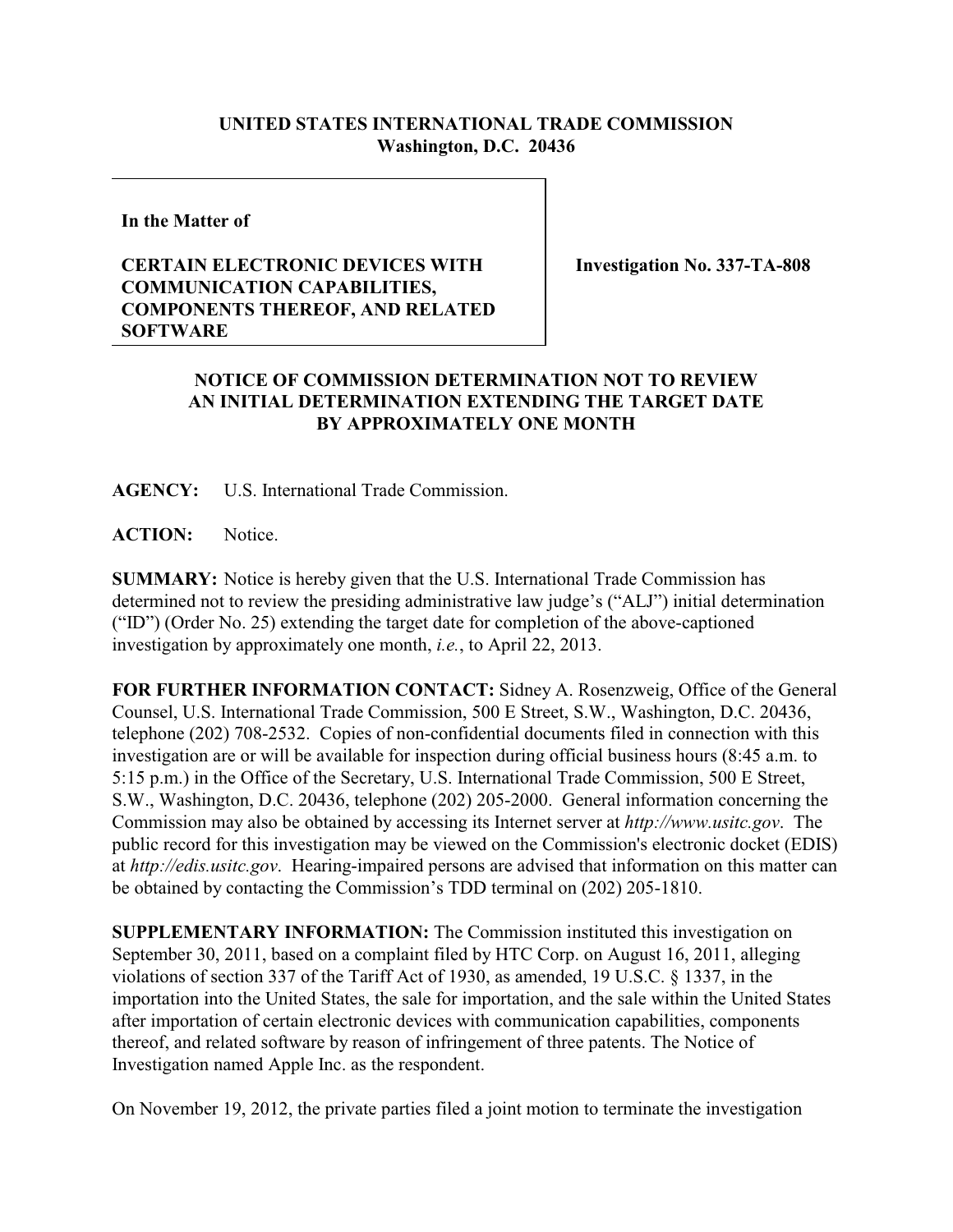## **UNITED STATES INTERNATIONAL TRADE COMMISSION Washington, D.C. 20436**

**In the Matter of**

## **CERTAIN ELECTRONIC DEVICES WITH COMMUNICATION CAPABILITIES, COMPONENTS THEREOF, AND RELATED SOFTWARE**

**Investigation No. 337-TA-808**

## **NOTICE OF COMMISSION DETERMINATION NOT TO REVIEW AN INITIAL DETERMINATION EXTENDING THE TARGET DATE BY APPROXIMATELY ONE MONTH**

**AGENCY:** U.S. International Trade Commission.

**ACTION:** Notice.

**SUMMARY:** Notice is hereby given that the U.S. International Trade Commission has determined not to review the presiding administrative law judge's ("ALJ") initial determination ("ID") (Order No. 25) extending the target date for completion of the above-captioned investigation by approximately one month, *i.e.*, to April 22, 2013.

**FOR FURTHER INFORMATION CONTACT:** Sidney A. Rosenzweig, Office of the General Counsel, U.S. International Trade Commission, 500 E Street, S.W., Washington, D.C. 20436, telephone (202) 708-2532. Copies of non-confidential documents filed in connection with this investigation are or will be available for inspection during official business hours (8:45 a.m. to 5:15 p.m.) in the Office of the Secretary, U.S. International Trade Commission, 500 E Street, S.W., Washington, D.C. 20436, telephone (202) 205-2000. General information concerning the Commission may also be obtained by accessing its Internet server at *http://www.usitc.gov*. The public record for this investigation may be viewed on the Commission's electronic docket (EDIS) at *http://edis.usitc.gov*. Hearing-impaired persons are advised that information on this matter can be obtained by contacting the Commission's TDD terminal on (202) 205-1810.

**SUPPLEMENTARY INFORMATION:** The Commission instituted this investigation on September 30, 2011, based on a complaint filed by HTC Corp. on August 16, 2011, alleging violations of section 337 of the Tariff Act of 1930, as amended, 19 U.S.C. § 1337, in the importation into the United States, the sale for importation, and the sale within the United States after importation of certain electronic devices with communication capabilities, components thereof, and related software by reason of infringement of three patents. The Notice of Investigation named Apple Inc. as the respondent.

On November 19, 2012, the private parties filed a joint motion to terminate the investigation